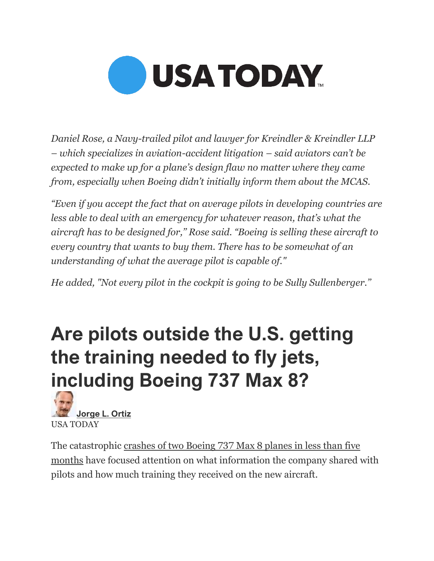

*Daniel Rose, a Navy-trailed pilot and lawyer for Kreindler & Kreindler LLP – which specializes in aviation-accident litigation – said aviators can't be expected to make up for a plane's design flaw no matter where they came from, especially when Boeing didn't initially inform them about the MCAS.*

*"Even if you accept the fact that on average pilots in developing countries are less able to deal with an emergency for whatever reason, that's what the aircraft has to be designed for,'' Rose said. "Boeing is selling these aircraft to every country that wants to buy them. There has to be somewhat of an understanding of what the average pilot is capable of."*

*He added, "Not every pilot in the cockpit is going to be Sully Sullenberger.''*

## **Are pilots outside the U.S. getting the training needed to fly jets, including Boeing 737 Max 8?**



The catastrophic [crashes of two Boeing 737 Max](https://www.usatoday.com/story/news/nation/2019/03/13/boeing-737-max-8-pilots-voiced-safety-concerns-before-ethiopia-crash/3145393002/) 8 planes in less than five [months](https://www.usatoday.com/story/news/nation/2019/03/13/boeing-737-max-8-pilots-voiced-safety-concerns-before-ethiopia-crash/3145393002/) have focused attention on what information the company shared with pilots and how much training they received on the new aircraft.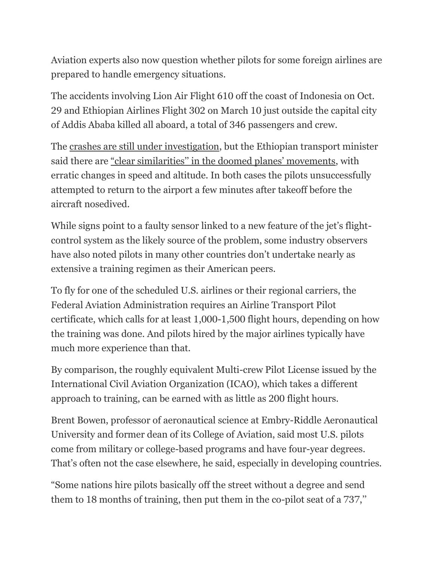Aviation experts also now question whether pilots for some foreign airlines are prepared to handle emergency situations.

The accidents involving Lion Air Flight 610 off the coast of Indonesia on Oct. 29 and Ethiopian Airlines Flight 302 on March 10 just outside the capital city of Addis Ababa killed all aboard, a total of 346 passengers and crew.

The [crashes are still under investigation,](https://www.usatoday.com/story/news/nation/2019/03/21/ethiopian-boeing-737-max-crash-warning-lights/3238792002/) but the Ethiopian transport minister said there are ["clear similarities'' in the doomed planes' movements](https://www.usatoday.com/story/news/nation/2019/03/17/boeing-737-max-8-similarities-crashes-ethiopian-official-says/3194949002/), with erratic changes in speed and altitude. In both cases the pilots unsuccessfully attempted to return to the airport a few minutes after takeoff before the aircraft nosedived.

While signs point to a faulty sensor linked to a new feature of the jet's flightcontrol system as the likely source of the problem, some industry observers have also noted pilots in many other countries don't undertake nearly as extensive a training regimen as their American peers.

To fly for one of the scheduled U.S. airlines or their regional carriers, the Federal Aviation Administration requires an Airline Transport Pilot certificate, which calls for at least 1,000-1,500 flight hours, depending on how the training was done. And pilots hired by the major airlines typically have much more experience than that.

By comparison, the roughly equivalent Multi-crew Pilot License issued by the International Civil Aviation Organization (ICAO), which takes a different approach to training, can be earned with as little as 200 flight hours.

Brent Bowen, professor of aeronautical science at Embry-Riddle Aeronautical University and former dean of its College of Aviation, said most U.S. pilots come from military or college-based programs and have four-year degrees. That's often not the case elsewhere, he said, especially in developing countries.

"Some nations hire pilots basically off the street without a degree and send them to 18 months of training, then put them in the co-pilot seat of a 737,''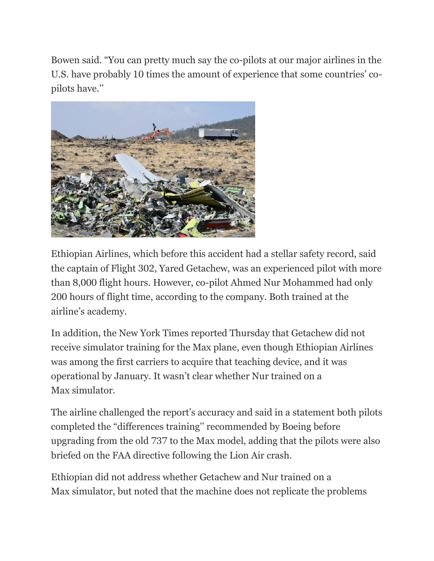Bowen said. "You can pretty much say the co-pilots at our major airlines in the U.S. have probably 10 times the amount of experience that some countries' copilots have.''



Ethiopian Airlines, which before this accident had a stellar safety record, said the captain of Flight 302, Yared Getachew, was an experienced pilot with more than 8,000 flight hours. However, co-pilot Ahmed Nur Mohammed had only 200 hours of flight time, according to the company. Both trained at the airline's academy.

In addition, the New York Times reported Thursday that Getachew did not receive simulator training for the Max plane, even though Ethiopian Airlines was among the first carriers to acquire that teaching device, and it was operational by January. It wasn't clear whether Nur trained on a Max simulator.

The airline challenged the report's accuracy and said in a statement both pilots completed the "differences training'' recommended by Boeing before upgrading from the old 737 to the Max model, adding that the pilots were also briefed on the FAA directive following the Lion Air crash.

Ethiopian did not address whether Getachew and Nur trained on a Max simulator, but noted that the machine does not replicate the problems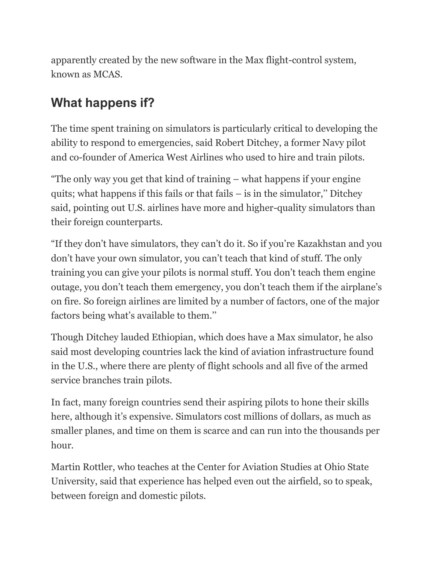apparently created by the new software in the Max flight-control system, known as MCAS.

## **What happens if?**

The time spent training on simulators is particularly critical to developing the ability to respond to emergencies, said Robert Ditchey, a former Navy pilot and co-founder of America West Airlines who used to hire and train pilots.

"The only way you get that kind of training – what happens if your engine quits; what happens if this fails or that fails – is in the simulator,'' Ditchey said, pointing out U.S. airlines have more and higher-quality simulators than their foreign counterparts.

"If they don't have simulators, they can't do it. So if you're Kazakhstan and you don't have your own simulator, you can't teach that kind of stuff. The only training you can give your pilots is normal stuff. You don't teach them engine outage, you don't teach them emergency, you don't teach them if the airplane's on fire. So foreign airlines are limited by a number of factors, one of the major factors being what's available to them.''

Though Ditchey lauded Ethiopian, which does have a Max simulator, he also said most developing countries lack the kind of aviation infrastructure found in the U.S., where there are plenty of flight schools and all five of the armed service branches train pilots.

In fact, many foreign countries send their aspiring pilots to hone their skills here, although it's expensive. Simulators cost millions of dollars, as much as smaller planes, and time on them is scarce and can run into the thousands per hour.

Martin Rottler, who teaches at the Center for Aviation Studies at Ohio State University, said that experience has helped even out the airfield, so to speak, between foreign and domestic pilots.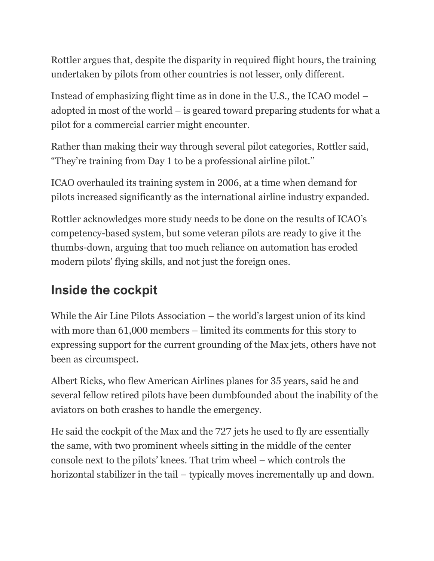Rottler argues that, despite the disparity in required flight hours, the training undertaken by pilots from other countries is not lesser, only different.

Instead of emphasizing flight time as in done in the U.S., the ICAO model – adopted in most of the world – is geared toward preparing students for what a pilot for a commercial carrier might encounter.

Rather than making their way through several pilot categories, Rottler said, "They're training from Day 1 to be a professional airline pilot.''

ICAO overhauled its training system in 2006, at a time when demand for pilots increased significantly as the international airline industry expanded.

Rottler acknowledges more study needs to be done on the results of ICAO's competency-based system, but some veteran pilots are ready to give it the thumbs-down, arguing that too much reliance on automation has eroded modern pilots' flying skills, and not just the foreign ones.

## **Inside the cockpit**

While the Air Line Pilots Association – the world's largest union of its kind with more than 61,000 members – limited its comments for this story to expressing support for the current grounding of the Max jets, others have not been as circumspect.

Albert Ricks, who flew American Airlines planes for 35 years, said he and several fellow retired pilots have been dumbfounded about the inability of the aviators on both crashes to handle the emergency.

He said the cockpit of the Max and the 727 jets he used to fly are essentially the same, with two prominent wheels sitting in the middle of the center console next to the pilots' knees. That trim wheel – which controls the horizontal stabilizer in the tail – typically moves incrementally up and down.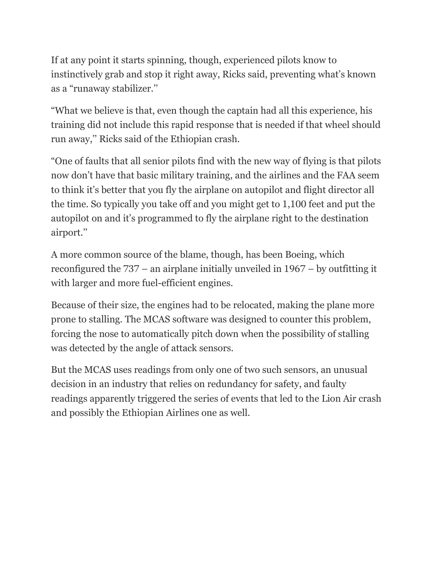If at any point it starts spinning, though, experienced pilots know to instinctively grab and stop it right away, Ricks said, preventing what's known as a "runaway stabilizer.''

"What we believe is that, even though the captain had all this experience, his training did not include this rapid response that is needed if that wheel should run away,'' Ricks said of the Ethiopian crash.

"One of faults that all senior pilots find with the new way of flying is that pilots now don't have that basic military training, and the airlines and the FAA seem to think it's better that you fly the airplane on autopilot and flight director all the time. So typically you take off and you might get to 1,100 feet and put the autopilot on and it's programmed to fly the airplane right to the destination airport.''

A more common source of the blame, though, has been Boeing, which reconfigured the 737 – an airplane initially unveiled in 1967 – by outfitting it with larger and more fuel-efficient engines.

Because of their size, the engines had to be relocated, making the plane more prone to stalling. The MCAS software was designed to counter this problem, forcing the nose to automatically pitch down when the possibility of stalling was detected by the angle of attack sensors.

But the MCAS uses readings from only one of two such sensors, an unusual decision in an industry that relies on redundancy for safety, and faulty readings apparently triggered the series of events that led to the Lion Air crash and possibly the Ethiopian Airlines one as well.